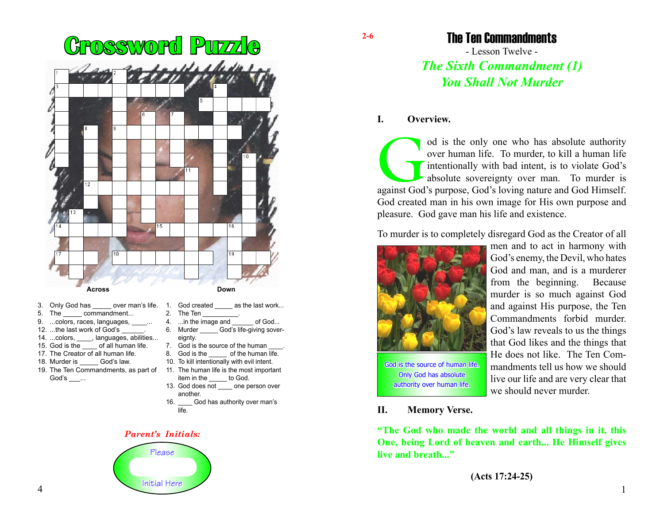

- 3. Only God has over man's life.
- 5. The commandment...
- 9. ...colors, races, languages,
- 12. ...the last work of God's
- 14. ...colors, janguages, abilities...
- 15. God is the of all human life.
- 17. The Creator of all human life.
- 18. Murder is God's law.
- 19. The Ten Commandments, as part of God's \_\_\_...
- 1. God created as the last work...
- 2. The Ten
- 4. ...in the image and \_\_\_\_\_\_ of God... 6. Murder God's life-giving sovereignty.
- 7. God is the source of the human
- 8. God is the of the human life.
- 10. To kill intentionally with evil intent.
- 11. The human life is the most important item in the to God.
- 13. God does not \_\_\_\_ one person over another.
- 16. \_\_\_\_ God has authority over man's life.

#### *Parent's Initials:*



The Ten Commandments

- Lesson Twelve - *The Sixth Commandment (1) You Shall Not Murder*

### **I. Overview.**

od is the only one who has absolute authority over human life. To murder, to kill a human life intentionally with bad intent, is to violate God's absolute sovereignty over man. To murder is against God's purpose, God's lov over human life. To murder, to kill a human life intentionally with bad intent, is to violate God's absolute sovereignty over man. To murder is God created man in his own image for His own purpose and pleasure. God gave man his life and existence.

To murder is to completely disregard God as the Creator of all



men and to act in harmony with God's enemy, the Devil, who hates God and man, and is a murderer from the beginning. Because murder is so much against God and against His purpose, the Ten Commandments forbid murder. God's law reveals to us the things that God likes and the things that He does not like. The Ten Commandments tell us how we should live our life and are very clear that we should never murder.

#### **II. Memory Verse.**

authority over human life.

**"The God who made the world and all things in it, this One, being Lord of heaven and earth... He Himself gives live and breath..."**

**(Acts 17:24-25)**